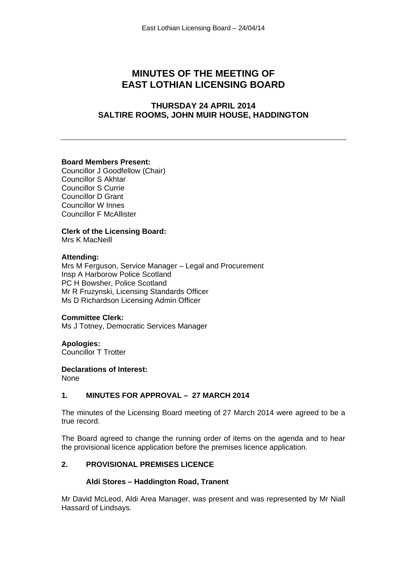# **MINUTES OF THE MEETING OF EAST LOTHIAN LICENSING BOARD**

# **THURSDAY 24 APRIL 2014 SALTIRE ROOMS, JOHN MUIR HOUSE, HADDINGTON**

#### **Board Members Present:**

Councillor J Goodfellow (Chair) Councillor S Akhtar Councillor S Currie Councillor D Grant Councillor W Innes Councillor F McAllister

## **Clerk of the Licensing Board:**

Mrs K MacNeill

#### **Attending:**

Mrs M Ferguson, Service Manager – Legal and Procurement Insp A Harborow Police Scotland PC H Bowsher, Police Scotland Mr R Fruzynski, Licensing Standards Officer Ms D Richardson Licensing Admin Officer

## **Committee Clerk:**

Ms J Totney, Democratic Services Manager

## **Apologies:**

Councillor T Trotter

## **Declarations of Interest:**

None

## **1. MINUTES FOR APPROVAL – 27 MARCH 2014**

The minutes of the Licensing Board meeting of 27 March 2014 were agreed to be a true record.

The Board agreed to change the running order of items on the agenda and to hear the provisional licence application before the premises licence application.

## **2. PROVISIONAL PREMISES LICENCE**

#### **Aldi Stores – Haddington Road, Tranent**

Mr David McLeod, Aldi Area Manager, was present and was represented by Mr Niall Hassard of Lindsays.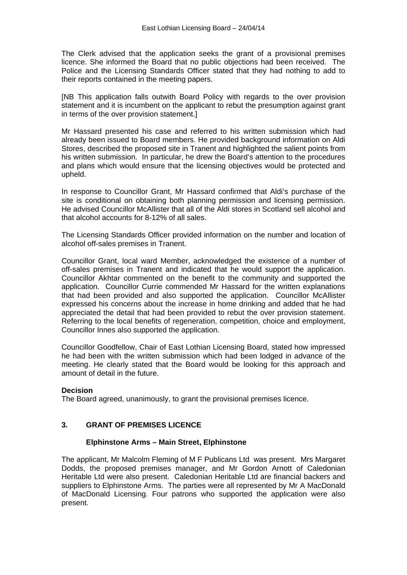The Clerk advised that the application seeks the grant of a provisional premises licence. She informed the Board that no public objections had been received. The Police and the Licensing Standards Officer stated that they had nothing to add to their reports contained in the meeting papers.

[NB This application falls outwith Board Policy with regards to the over provision statement and it is incumbent on the applicant to rebut the presumption against grant in terms of the over provision statement.]

Mr Hassard presented his case and referred to his written submission which had already been issued to Board members. He provided background information on Aldi Stores, described the proposed site in Tranent and highlighted the salient points from his written submission. In particular, he drew the Board's attention to the procedures and plans which would ensure that the licensing objectives would be protected and upheld.

In response to Councillor Grant, Mr Hassard confirmed that Aldi's purchase of the site is conditional on obtaining both planning permission and licensing permission. He advised Councillor McAllister that all of the Aldi stores in Scotland sell alcohol and that alcohol accounts for 8-12% of all sales.

The Licensing Standards Officer provided information on the number and location of alcohol off-sales premises in Tranent.

Councillor Grant, local ward Member, acknowledged the existence of a number of off-sales premises in Tranent and indicated that he would support the application. Councillor Akhtar commented on the benefit to the community and supported the application. Councillor Currie commended Mr Hassard for the written explanations that had been provided and also supported the application. Councillor McAllister expressed his concerns about the increase in home drinking and added that he had appreciated the detail that had been provided to rebut the over provision statement. Referring to the local benefits of regeneration, competition, choice and employment, Councillor Innes also supported the application.

Councillor Goodfellow, Chair of East Lothian Licensing Board, stated how impressed he had been with the written submission which had been lodged in advance of the meeting. He clearly stated that the Board would be looking for this approach and amount of detail in the future.

## **Decision**

The Board agreed, unanimously, to grant the provisional premises licence.

## **3. GRANT OF PREMISES LICENCE**

## **Elphinstone Arms – Main Street, Elphinstone**

The applicant, Mr Malcolm Fleming of M F Publicans Ltd was present. Mrs Margaret Dodds, the proposed premises manager, and Mr Gordon Arnott of Caledonian Heritable Ltd were also present. Caledonian Heritable Ltd are financial backers and suppliers to Elphinstone Arms. The parties were all represented by Mr A MacDonald of MacDonald Licensing. Four patrons who supported the application were also present.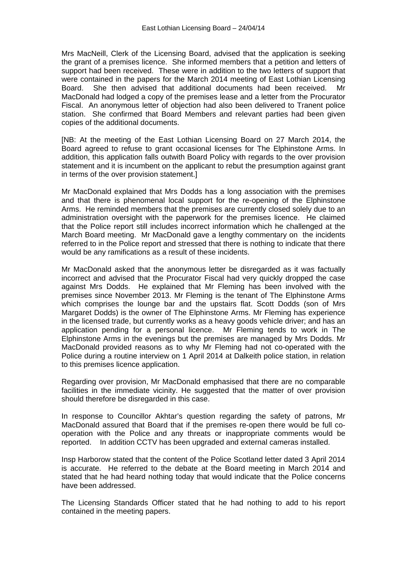Mrs MacNeill, Clerk of the Licensing Board, advised that the application is seeking the grant of a premises licence. She informed members that a petition and letters of support had been received. These were in addition to the two letters of support that were contained in the papers for the March 2014 meeting of East Lothian Licensing Board. She then advised that additional documents had been received. Mr MacDonald had lodged a copy of the premises lease and a letter from the Procurator Fiscal. An anonymous letter of objection had also been delivered to Tranent police station. She confirmed that Board Members and relevant parties had been given copies of the additional documents.

[NB: At the meeting of the East Lothian Licensing Board on 27 March 2014, the Board agreed to refuse to grant occasional licenses for The Elphinstone Arms. In addition, this application falls outwith Board Policy with regards to the over provision statement and it is incumbent on the applicant to rebut the presumption against grant in terms of the over provision statement.]

Mr MacDonald explained that Mrs Dodds has a long association with the premises and that there is phenomenal local support for the re-opening of the Elphinstone Arms. He reminded members that the premises are currently closed solely due to an administration oversight with the paperwork for the premises licence. He claimed that the Police report still includes incorrect information which he challenged at the March Board meeting. Mr MacDonald gave a lengthy commentary on the incidents referred to in the Police report and stressed that there is nothing to indicate that there would be any ramifications as a result of these incidents.

Mr MacDonald asked that the anonymous letter be disregarded as it was factually incorrect and advised that the Procurator Fiscal had very quickly dropped the case against Mrs Dodds. He explained that Mr Fleming has been involved with the premises since November 2013. Mr Fleming is the tenant of The Elphinstone Arms which comprises the lounge bar and the upstairs flat. Scott Dodds (son of Mrs Margaret Dodds) is the owner of The Elphinstone Arms. Mr Fleming has experience in the licensed trade, but currently works as a heavy goods vehicle driver; and has an application pending for a personal licence. Mr Fleming tends to work in The Elphinstone Arms in the evenings but the premises are managed by Mrs Dodds. Mr MacDonald provided reasons as to why Mr Fleming had not co-operated with the Police during a routine interview on 1 April 2014 at Dalkeith police station, in relation to this premises licence application.

Regarding over provision, Mr MacDonald emphasised that there are no comparable facilities in the immediate vicinity. He suggested that the matter of over provision should therefore be disregarded in this case.

In response to Councillor Akhtar's question regarding the safety of patrons, Mr MacDonald assured that Board that if the premises re-open there would be full cooperation with the Police and any threats or inappropriate comments would be reported. In addition CCTV has been upgraded and external cameras installed.

Insp Harborow stated that the content of the Police Scotland letter dated 3 April 2014 is accurate. He referred to the debate at the Board meeting in March 2014 and stated that he had heard nothing today that would indicate that the Police concerns have been addressed.

The Licensing Standards Officer stated that he had nothing to add to his report contained in the meeting papers.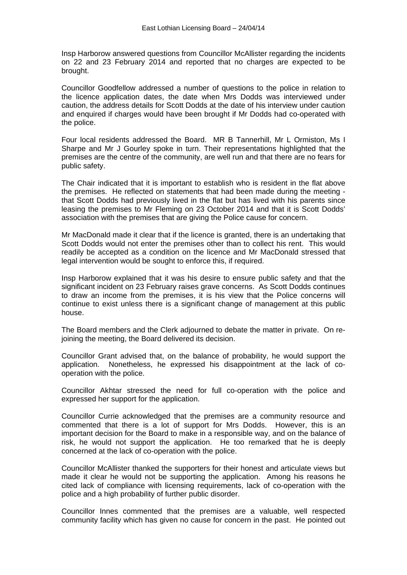Insp Harborow answered questions from Councillor McAllister regarding the incidents on 22 and 23 February 2014 and reported that no charges are expected to be brought.

Councillor Goodfellow addressed a number of questions to the police in relation to the licence application dates, the date when Mrs Dodds was interviewed under caution, the address details for Scott Dodds at the date of his interview under caution and enquired if charges would have been brought if Mr Dodds had co-operated with the police.

Four local residents addressed the Board. MR B Tannerhill, Mr L Ormiston, Ms I Sharpe and Mr J Gourley spoke in turn. Their representations highlighted that the premises are the centre of the community, are well run and that there are no fears for public safety.

The Chair indicated that it is important to establish who is resident in the flat above the premises. He reflected on statements that had been made during the meeting that Scott Dodds had previously lived in the flat but has lived with his parents since leasing the premises to Mr Fleming on 23 October 2014 and that it is Scott Dodds' association with the premises that are giving the Police cause for concern.

Mr MacDonald made it clear that if the licence is granted, there is an undertaking that Scott Dodds would not enter the premises other than to collect his rent. This would readily be accepted as a condition on the licence and Mr MacDonald stressed that legal intervention would be sought to enforce this, if required.

Insp Harborow explained that it was his desire to ensure public safety and that the significant incident on 23 February raises grave concerns. As Scott Dodds continues to draw an income from the premises, it is his view that the Police concerns will continue to exist unless there is a significant change of management at this public house.

The Board members and the Clerk adjourned to debate the matter in private. On rejoining the meeting, the Board delivered its decision.

Councillor Grant advised that, on the balance of probability, he would support the application. Nonetheless, he expressed his disappointment at the lack of cooperation with the police.

Councillor Akhtar stressed the need for full co-operation with the police and expressed her support for the application.

Councillor Currie acknowledged that the premises are a community resource and commented that there is a lot of support for Mrs Dodds. However, this is an important decision for the Board to make in a responsible way, and on the balance of risk, he would not support the application. He too remarked that he is deeply concerned at the lack of co-operation with the police.

Councillor McAllister thanked the supporters for their honest and articulate views but made it clear he would not be supporting the application. Among his reasons he cited lack of compliance with licensing requirements, lack of co-operation with the police and a high probability of further public disorder.

Councillor Innes commented that the premises are a valuable, well respected community facility which has given no cause for concern in the past. He pointed out